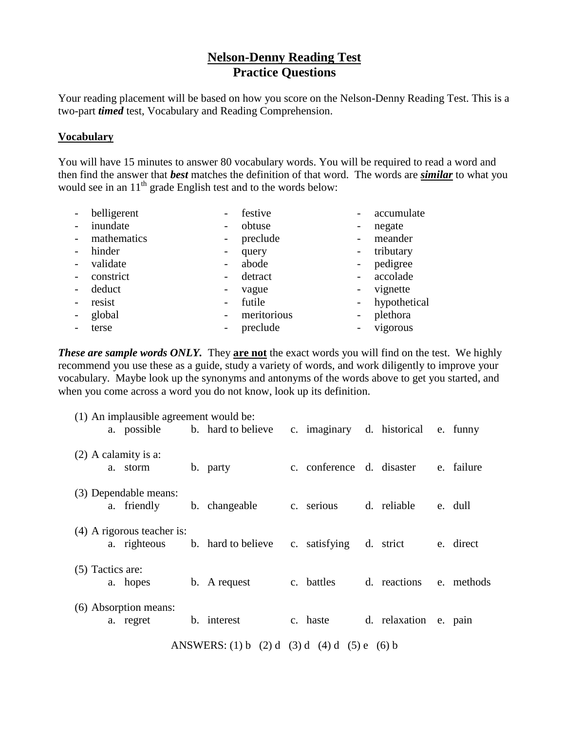## **Nelson-Denny Reading Test Practice Questions**

Your reading placement will be based on how you score on the Nelson-Denny Reading Test. This is a two-part *timed* test, Vocabulary and Reading Comprehension.

## **Vocabulary**

You will have 15 minutes to answer 80 vocabulary words. You will be required to read a word and then find the answer that *best* matches the definition of that word. The words are *similar* to what you would see in an  $11<sup>th</sup>$  grade English test and to the words below:

|                          | belligerent | -                            | festive     |                          | accumulate   |
|--------------------------|-------------|------------------------------|-------------|--------------------------|--------------|
|                          | inundate    | $\qquad \qquad \blacksquare$ | obtuse      |                          | negate       |
|                          | mathematics | $\blacksquare$               | preclude    |                          | meander      |
| $\qquad \qquad -$        | hinder      | -                            | query       |                          | tributary    |
|                          | validate    | $\overline{a}$               | abode       | $\overline{\phantom{0}}$ | pedigree     |
|                          | constrict   | -                            | detract     |                          | accolade     |
|                          | deduct      | -                            | vague       |                          | vignette     |
| $\overline{\phantom{a}}$ | resist      | $\qquad \qquad -$            | futile      |                          | hypothetical |
|                          | global      | $\overline{\phantom{a}}$     | meritorious |                          | plethora     |
|                          | terse       | $\overline{\phantom{0}}$     | preclude    |                          | vigorous     |

**These are sample words ONLY.** They are not the exact words you will find on the test. We highly recommend you use these as a guide, study a variety of words, and work diligently to improve your vocabulary. Maybe look up the synonyms and antonyms of the words above to get you started, and when you come across a word you do not know, look up its definition.

| (1) An implausible agreement would be:       |                    |                                      |  |                                |  |                                     |  |                       |  |            |
|----------------------------------------------|--------------------|--------------------------------------|--|--------------------------------|--|-------------------------------------|--|-----------------------|--|------------|
|                                              |                    |                                      |  | a. possible b. hard to believe |  | c. imaginary d. historical e. funny |  |                       |  |            |
| $(2)$ A calamity is a:                       |                    |                                      |  |                                |  |                                     |  |                       |  |            |
|                                              |                    | a. storm                             |  | b. party                       |  | c. conference d. disaster           |  |                       |  | e. failure |
|                                              |                    |                                      |  |                                |  |                                     |  |                       |  |            |
|                                              |                    | (3) Dependable means:<br>a. friendly |  | b. changeable                  |  | c. serious                          |  | d. reliable           |  | e. dull    |
|                                              |                    |                                      |  |                                |  |                                     |  |                       |  |            |
|                                              |                    | $(4)$ A rigorous teacher is:         |  |                                |  | c. satisfying                       |  |                       |  | e. direct  |
|                                              |                    | a. righteous                         |  | b. hard to believe             |  |                                     |  | d. strict             |  |            |
|                                              | $(5)$ Tactics are: |                                      |  |                                |  |                                     |  |                       |  |            |
|                                              |                    | a. hopes                             |  | b. A request                   |  | c. battles                          |  | d. reactions          |  | e. methods |
| (6) Absorption means:                        |                    |                                      |  |                                |  |                                     |  |                       |  |            |
|                                              |                    | a. regret                            |  | b. interest                    |  | c. haste                            |  | d. relaxation e. pain |  |            |
| ANSWERS: (1) b (2) d (3) d (4) d (5) e (6) b |                    |                                      |  |                                |  |                                     |  |                       |  |            |
|                                              |                    |                                      |  |                                |  |                                     |  |                       |  |            |